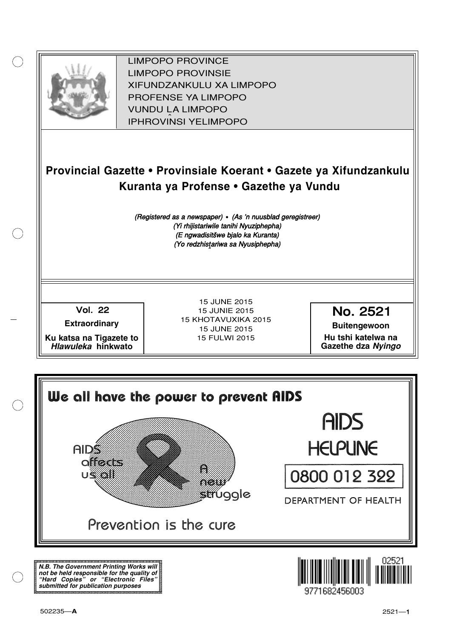

XIFUNDZANKULU XA LIMPOPO<br>PROFENCE XA LIMPORO PROFENSE YA LIMPOPO<br>WILDOLLA LIMPORO SOUTH A LIMPOPO<br>A LIPHROVINSI YELIMPOPO LIMPOPO PROVINCE LIMPOPO PROVINSIE IPHROVINSI YELIMPOPO

## **Provincial Gazette • Provinsiale Koerant • Gazete ya Xifundzankulu Kuranta ya Profense • Gazethe ya Vundu**

(Registered as a newspaper) • (As 'n nuusblad geregistreer) (Yi rhijistariwile tanihi Nyuziphepha) (E ngwadisitšwe bjalo ka Kuranta) (Yo redzhistariwa sa Nyusiphepha)

Vol.- 22

**Extraordinary**

**Ku katsa na Tigazete to Hlawuleka hinkwato**

15 JUNE 2015 15 JUNIE 2015 15 KHOTAVUXIKA 2015 15 JUNE 2015 15 FULWI 2015

No. 2521

**Buitengewoon Hu tshi katelwa na**

**Gazethe dza Nyingo**



**N.B. The Government Printing Works will not be held responsible for the quality of "Hard Copies" or "Electronic Files" submitted for publication purposes**

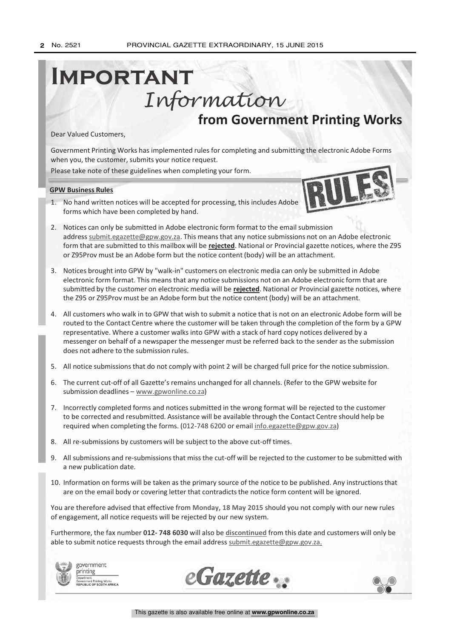# **from Government Printing Works Important** Information

Dear Valued Customers,

Government Printing Works has implemented rules for completing and submitting the electronic Adobe Forms when you, the customer, submits your notice request.

Please take note of these guidelines when completing your form.

#### **GPW Business Rules**

1. No hand written notices will be accepted for processing, this includes Adobe forms which have been completed by hand.



- 2. Notices can only be submitted in Adobe electronic form format to the email submission address submit.egazette@gpw.gov.za. This means that any notice submissions not on an Adobe electronic form that are submitted to this mailbox will be **rejected**. National or Provincial gazette notices, where the Z95 or Z95Prov must be an Adobe form but the notice content (body) will be an attachment.
- 3. Notices brought into GPW by "walk-in" customers on electronic media can only be submitted in Adobe electronic form format. This means that any notice submissions not on an Adobe electronic form that are submitted by the customer on electronic media will be **rejected**. National or Provincial gazette notices, where the Z95 or Z95Prov must be an Adobe form but the notice content (body) will be an attachment.
- 4. All customers who walk in to GPW that wish to submit a notice that is not on an electronic Adobe form will be routed to the Contact Centre where the customer will be taken through the completion of the form by a GPW representative. Where a customer walks into GPW with a stack of hard copy notices delivered by a messenger on behalf of a newspaper the messenger must be referred back to the sender as the submission does not adhere to the submission rules.
- 5. All notice submissions that do not comply with point 2 will be charged full price for the notice submission.
- 6. The current cut-off of all Gazette's remains unchanged for all channels. (Refer to the GPW website for submission deadlines - www.gpwonline.co.za)
- 7. Incorrectly completed forms and notices submitted in the wrong format will be rejected to the customer to be corrected and resubmitted. Assistance will be available through the Contact Centre should help be required when completing the forms. (012-748 6200 or email info.egazette@gpw.gov.za)
- 8. All re-submissions by customers will be subject to the above cut-off times.
- 9. All submissions and re-submissions that miss the cut-off will be rejected to the customer to be submitted with a new publication date.
- 10. Information on forms will be taken as the primary source of the notice to be published. Any instructions that are on the email body or covering letter that contradicts the notice form content will be ignored.

You are therefore advised that effective from **Monday, 18 May 2015** should you not comply with our new rules of engagement, all notice requests will be rejected by our new system.

Furthermore, the fax number **012- 748 6030** will also be **discontinued** from this date and customers will only be able to submit notice requests through the email address submit.egazette@gpw.gov.za.



government printing on:<br>ient Printing Works<br>.ic. OF SOUTH AFRICA



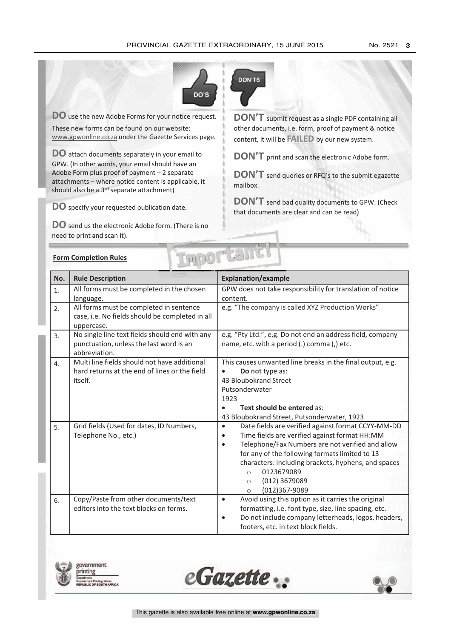

**DO** use the new Adobe Forms for your notice request.

These new forms can be found on our website: www.gpwonline.co.za under the Gazette Services page.

**DO** attach documents separately in your email to GPW. (In other words, your email should have an Adobe Form plus proof of payment – 2 separate attachments – where notice content is applicable, it should also be a 3<sup>rd</sup> separate attachment)

**DO** specify your requested publication date.

**Form Completion Rules**

**DO** send us the electronic Adobe form. (There is no need to print and scan it).



**DON'T** submit request as <sup>a</sup> single PDF containing all other documents, i.e. form, proof of payment & notice content, it will be **FAILED** by our new system.

**DON'T** print and scan the electronic Adobe form.

**DON'T** send queries or RFQ's to the submit.egazette mailbox.

**DON'T** send bad quality documents to GPW. (Check that documents are clear and can be read)

| No.              | <b>Rule Description</b>                                                                                  | <b>Explanation/example</b>                                      |  |  |
|------------------|----------------------------------------------------------------------------------------------------------|-----------------------------------------------------------------|--|--|
| 1.               | All forms must be completed in the chosen                                                                | GPW does not take responsibility for translation of notice      |  |  |
|                  | language.                                                                                                | content.                                                        |  |  |
| 2.               | All forms must be completed in sentence<br>case, i.e. No fields should be completed in all<br>uppercase. | e.g. "The company is called XYZ Production Works"               |  |  |
| $\overline{3}$ . | No single line text fields should end with any                                                           | e.g. "Pty Ltd.", e.g. Do not end an address field, company      |  |  |
|                  | punctuation, unless the last word is an<br>abbreviation.                                                 | name, etc. with a period (.) comma (,) etc.                     |  |  |
| 4.               | Multi line fields should not have additional                                                             | This causes unwanted line breaks in the final output, e.g.      |  |  |
|                  | hard returns at the end of lines or the field                                                            | Do not type as:                                                 |  |  |
|                  | itself.                                                                                                  | 43 Bloubokrand Street                                           |  |  |
|                  |                                                                                                          | Putsonderwater                                                  |  |  |
|                  |                                                                                                          | 1923                                                            |  |  |
|                  |                                                                                                          | Text should be entered as:                                      |  |  |
|                  |                                                                                                          | 43 Bloubokrand Street, Putsonderwater, 1923                     |  |  |
| 5.               | Grid fields (Used for dates, ID Numbers,                                                                 | Date fields are verified against format CCYY-MM-DD<br>$\bullet$ |  |  |
|                  | Telephone No., etc.)                                                                                     | Time fields are verified against format HH:MM                   |  |  |
|                  |                                                                                                          | Telephone/Fax Numbers are not verified and allow                |  |  |
|                  |                                                                                                          | for any of the following formats limited to 13                  |  |  |
|                  |                                                                                                          | characters: including brackets, hyphens, and spaces             |  |  |
|                  |                                                                                                          | 0123679089<br>$\circ$                                           |  |  |
|                  |                                                                                                          | (012) 3679089<br>$\circ$                                        |  |  |
|                  |                                                                                                          | (012)367-9089<br>$\circ$                                        |  |  |
| 6.               | Copy/Paste from other documents/text                                                                     | Avoid using this option as it carries the original<br>$\bullet$ |  |  |
|                  | editors into the text blocks on forms.                                                                   | formatting, i.e. font type, size, line spacing, etc.            |  |  |
|                  |                                                                                                          | Do not include company letterheads, logos, headers,             |  |  |
|                  |                                                                                                          | footers, etc. in text block fields.                             |  |  |

**Important** 





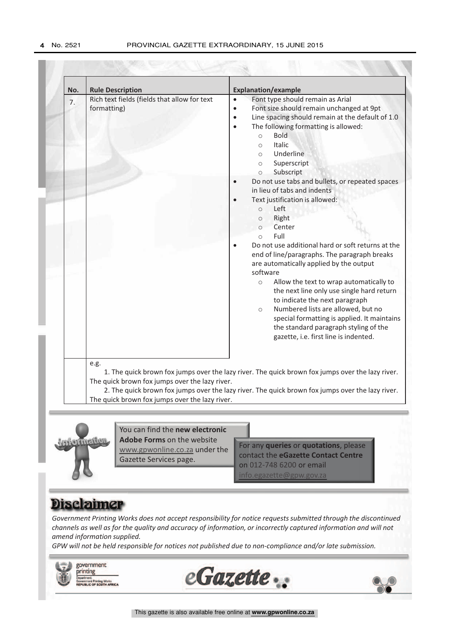| No. | <b>Rule Description</b>                                                                                                                                                                                                                                                                                          | <b>Explanation/example</b>                                                                                                                                                                                                                                                                                                                                                                                                                                                                                                                                                                                                                                                                        |  |
|-----|------------------------------------------------------------------------------------------------------------------------------------------------------------------------------------------------------------------------------------------------------------------------------------------------------------------|---------------------------------------------------------------------------------------------------------------------------------------------------------------------------------------------------------------------------------------------------------------------------------------------------------------------------------------------------------------------------------------------------------------------------------------------------------------------------------------------------------------------------------------------------------------------------------------------------------------------------------------------------------------------------------------------------|--|
| 7.  | Rich text fields (fields that allow for text<br>formatting)                                                                                                                                                                                                                                                      | Font type should remain as Arial<br>$\bullet$<br>Font size should remain unchanged at 9pt<br>$\bullet$<br>Line spacing should remain at the default of 1.0<br>$\bullet$<br>The following formatting is allowed:<br>$\bullet$<br><b>Bold</b><br>$\circ$<br><b>Italic</b><br>$\circ$<br>Underline<br>$\circ$<br>Superscript<br>$\circ$<br>Subscript<br>$\circ$                                                                                                                                                                                                                                                                                                                                      |  |
|     |                                                                                                                                                                                                                                                                                                                  | Do not use tabs and bullets, or repeated spaces<br>in lieu of tabs and indents<br>Text justification is allowed:<br>$\bullet$<br>Left<br>$\circ$<br>Right<br>$\circ$<br>Center<br>$\bigcap$<br>Full<br>$\circ$<br>Do not use additional hard or soft returns at the<br>end of line/paragraphs. The paragraph breaks<br>are automatically applied by the output<br>software<br>Allow the text to wrap automatically to<br>$\circ$<br>the next line only use single hard return<br>to indicate the next paragraph<br>Numbered lists are allowed, but no<br>$\circ$<br>special formatting is applied. It maintains<br>the standard paragraph styling of the<br>gazette, i.e. first line is indented. |  |
|     | e.g.<br>1. The quick brown fox jumps over the lazy river. The quick brown fox jumps over the lazy river.<br>The quick brown fox jumps over the lazy river.<br>2. The quick brown fox jumps over the lazy river. The quick brown fox jumps over the lazy river.<br>The quick brown fox jumps over the lazy river. |                                                                                                                                                                                                                                                                                                                                                                                                                                                                                                                                                                                                                                                                                                   |  |



You can find the **new electronic Adobe Forms** on the website www.gpwonline.co.za under the Gazette Services page.

For any **queries** or **quotations**, please contact the **eGazette Contact Centre** on 012-748 6200 or email  $info$ .egazette@gpw.go

### **Disclaimer**

*Government Printing Works does not accept responsibility for notice requests submitted through the discontinued channels as well as for the quality and accuracy of information, or incorrectly captured information and will not amend information supplied.*

*GPW will not be held responsible for notices not published due to non-compliance and/or late submission.*

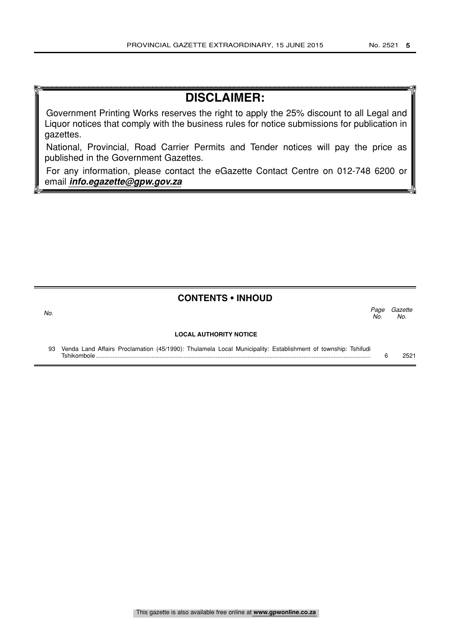Gazette No.

Page<br>No.

### **DISCLAIMER:**

Government Printing Works reserves the right to apply the 25% discount to all Legal and Liquor notices that comply with the business rules for notice submissions for publication in gazettes.

National, Provincial, Road Carrier Permits and Tender notices will pay the price as published in the Government Gazettes.

For any information, please contact the eGazette Contact Centre on 012-748 6200 or email **info.egazette@gpw.gov.za**

### **CONTENTS • INHOUD**

No.  $\sim$  No.

#### **LOCAL AUTHORITY NOTICE**

93 Venda Land Affairs Proclamation (45/1990): Thulamela Local Municipality: Establishment of township: Tshifudi Tshikombole ................................................................................................................................................................... 6 2521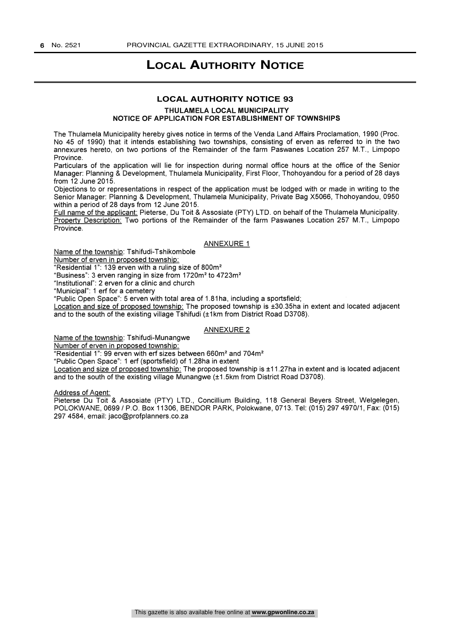### **LOCAL AUTHORITY NOTICE**

#### **LOCAL AUTHORITY NOTICE 93**

THULAMELA LOCAL MUNICIPALITY NOTICE OF APPLICATION FOR ESTABLISHMENT OF TOWNSHIPS

The Thulamela Municipality hereby gives notice in terms of the Venda Land Affairs Proclamation, 1990 (Proc. No 45 of 1990) that it intends establishing two townships, consisting of erven as referred to in the two annexures hereto, on two portions of the Remainder of the farm Paswanes Location 257 M.T., Limpopo Province.

Particulars of the application will lie for inspection during normal office hours at the office of the Senior Manager: Planning & Development, Thulamela Municipality, First Floor, Thohoyandou for a period of 28 days from 12 June 2015.

Objections to or representations in respect of the application must be lodged with or made in writing to the Senior Manager: Planning & Development, Thulamela Municipality, Private Bag X5066, Thohoyandou, 0950 within a period of 28 days from 12 June 2015.

Full name of the applicant: Pieterse, Du Toit & Assosiate (PTY) LTD. on behalf of the Thulamela Municipality. Property Description: Two portions of the Remainder of the farm Paswanes Location 257 M.T., Limpopo Province.

#### ANNEXURE 1

Name of the township: Tshifudi-Tshikombole

Number of erven in proposed township:

"Residential 1": 139 erven with a ruling size of 800m2

"Business": 3 erven ranging in size from 1720m<sup>2</sup> to 4723m<sup>2</sup>

"Institutional": 2 erven for a clinic and church

"Municipal": 1 erf for a cemetery

"Public Open Space": 5 erven with total area of 1.81ha, including a sportsfield;

Location and size of proposed township: The proposed township is ±30.35ha in extent and located adjacent and to the south of the existing village Tshifudi (±1km from District Road D3708).

#### **ANNEXURE 2**

Name of the township: Tshifudi-Munangwe

Number of erven in proposed township:

"Residential 1": 99 erven with erf sizes between 660m<sup>2</sup> and 704m<sup>2</sup>

"Public Open Space": 1 erf (sportsfield) of 1.28ha in extent

Location and size of proposed township: The proposed township is ±11.27ha in extent and is located adjacent and to the south of the existing village Munangwe (±1.5km from District Road D3708).

Address of Agent:

Pieterse Du Toit & Assosiate (PTY) LTD., Concillium Building, 118 General Beyers Street, Welgelegen, POLOKWANE, 0699 / P.O. Box 11306, BENDOR PARK, Polokwane, 0713. Tel: (015) 297 4970/1, Fax: (015) 297 4584, email: jaco @profplanners.co.za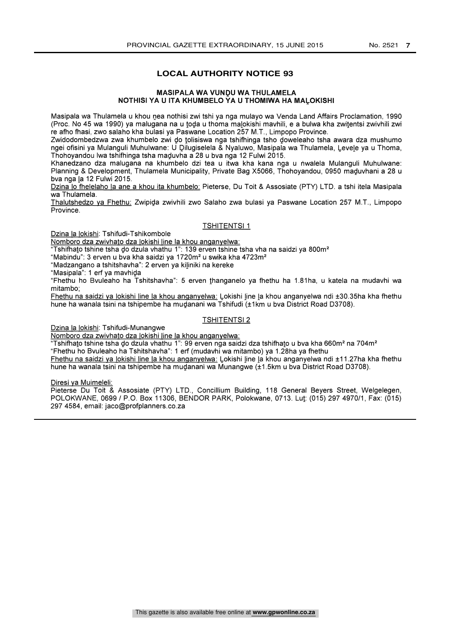#### **LOCAL AUTHORITY NOTICE 93**

#### MASIPALA WA YUNDU WA THULAMELA NOTHISI YA U ITA KHUMBELO YA U THOMIWA HA MALOKISHI

Masipala wa Thulamela u khou nea nothisi zwi tshi ya nga mulayo wa Venda Land Affairs Proclamation, 1990 (Proc. No 45 wa 1990) ya malugana na u toda u thoma malokishi mavhili, e a bulwa kha zwitentsi zwivhili zwi re afho fhasi, zwo salaho kha bulasi ya Paswane Location 257 M.T., Limpopo Province.

Zwidodombedzwa zwa khumbelo zwi do tolisiswa nga tshifhinga tsho doweleaho tsha awara dza mushumo ngei ofisini ya Mulanguli Muhulwane: U Dilugiselela & Nyaluwo, Masipala wa Thulamela, Levele ya u Thoma, Thohoyandou Iwa tshifhinga tsha maduvha a 28 u bva nga 12 Fulwi 2015.

Khanedzano dza malugana na khumbelo dzi tea u itwa kha kana nga u ñwalela Mulanguli Muhulwane: Planning & Development, Thulamela Municipality, Private Bag X5066, Thohoyandou, 0950 maduvhani a 28 u bva nga la 12 Fulwi 2015.

Dzina Io fhelelaho la ane a khou ita khumbelo: Pieterse, Du Toit & Assosiate (PTY) LTD. a tshi itela Masipala wa Thulamela.

Thalutshedzo va Fhethu: Zwipida zwivhili zwo Salaho zwa bulasi ya Paswane Location 257 M.T., Limpopo Province.

#### TSHITENTSI 1

Dzina la lokishi: Tshifudi-Tshikombole

Nomboro dza zwivhato dza lokishi line la khou anganyeiwa:

"Tshifhato tshine tsha do dzula vhathu 1": 139 erven tshine tsha vha na saidzi ya 800m<sup>2</sup>

"Mabindu": 3 erven u bva kha saidzi ya 1720m<sup>2</sup> u swika kha 4723m<sup>2</sup>

"Madzangano a tshitshavha": 2 erven ya kiliniki na kereke

"Masipala": 1 erf ya mavhida

"Fhethu ho Bvuleaho ha Tshitshavha": 5 erven thanganelo ya fhethu ha 1.81ha, u katela na mudavhi wa mitambo;

Fhethu na saidzi va lokishi line la khou anganvelwa: Lokishi line la khou anganyelwa ndi ±30.35ha kha fhethu hune ha wanala tsini na tshipembe ha mudanani wa Tshifudi (±1 km u bva District Road D3708).

#### TSHITENTSI 2

Dzina la lokishi: Tshifudi-Munangwe

Nomboro dza zwivhato dza lokishi line la khou anganvelwa:

"Tshifhato tshine tsha do dzula vhathu 1": 99 erven nga saidzi dza tshifhato u bva kha 660m<sup>2</sup> na 704m<sup>2</sup> "Fhethu ho Bvuleaho ha Tshitshavha": 1 erf (mudavhi wa mitambo) ya 1.28ha ya fhethu

Fhethu na saidzi ya lokishi line la khou anganyelwa: Lokishi line la khou anganyelwa ndi ±11.27ha kha fhethu hune ha wanala tsini na tshipembe ha mudanani wa Munangwe (±1.5km u bva District Road D3708).

Diresi ya Muimeleli:

Pieterse Du Toit & Assosiate (PTY) LTD., Concillium Building, 118 General Beyers Street, Welgelegen, POLOKWANE, 0699 / P.O. Box 11306, BENDOR PARK, Polokwane, 0713. Lut: (015) 297 4970/1, Fax: (015) 297 4584, email: jaco @profplanners.co.za